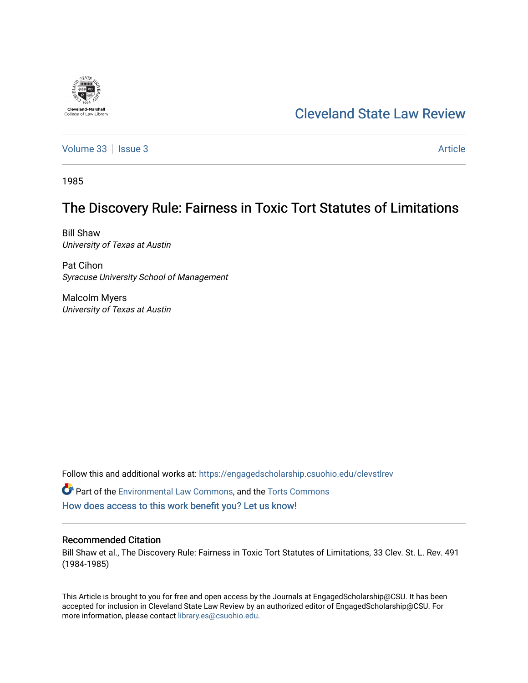# [Cleveland State Law Review](https://engagedscholarship.csuohio.edu/clevstlrev)

[Volume 33](https://engagedscholarship.csuohio.edu/clevstlrev/vol33) | [Issue 3](https://engagedscholarship.csuohio.edu/clevstlrev/vol33/iss3) Article

1985

**Cleveland-Marshall**<br>College of Law Libra

# The Discovery Rule: Fairness in Toxic Tort Statutes of Limitations

Bill Shaw University of Texas at Austin

Pat Cihon Syracuse University School of Management

Malcolm Myers University of Texas at Austin

Follow this and additional works at: [https://engagedscholarship.csuohio.edu/clevstlrev](https://engagedscholarship.csuohio.edu/clevstlrev?utm_source=engagedscholarship.csuohio.edu%2Fclevstlrev%2Fvol33%2Fiss3%2F7&utm_medium=PDF&utm_campaign=PDFCoverPages)

Part of the [Environmental Law Commons](http://network.bepress.com/hgg/discipline/599?utm_source=engagedscholarship.csuohio.edu%2Fclevstlrev%2Fvol33%2Fiss3%2F7&utm_medium=PDF&utm_campaign=PDFCoverPages), and the [Torts Commons](http://network.bepress.com/hgg/discipline/913?utm_source=engagedscholarship.csuohio.edu%2Fclevstlrev%2Fvol33%2Fiss3%2F7&utm_medium=PDF&utm_campaign=PDFCoverPages) [How does access to this work benefit you? Let us know!](http://library.csuohio.edu/engaged/)

# Recommended Citation

Bill Shaw et al., The Discovery Rule: Fairness in Toxic Tort Statutes of Limitations, 33 Clev. St. L. Rev. 491 (1984-1985)

This Article is brought to you for free and open access by the Journals at EngagedScholarship@CSU. It has been accepted for inclusion in Cleveland State Law Review by an authorized editor of EngagedScholarship@CSU. For more information, please contact [library.es@csuohio.edu](mailto:library.es@csuohio.edu).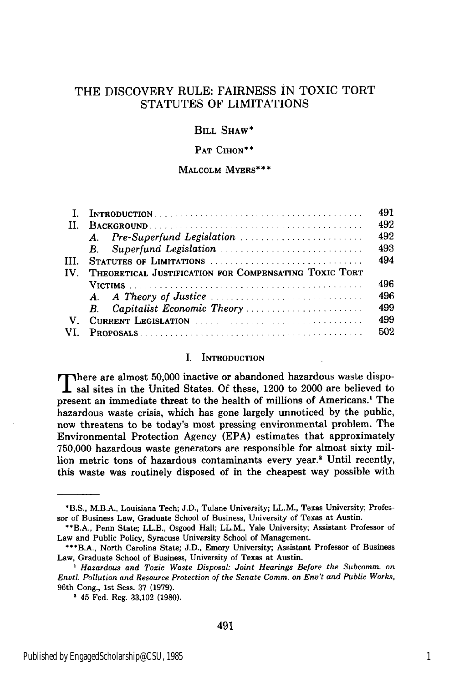# THE DISCOVERY RULE: FAIRNESS IN TOXIC TORT STATUTES OF LIMITATIONS

# BILL SHAW\*

### PAT **CIHON\*\***

#### MALCOLM MYERS\*\*\*

|              |                                                       | 491 |
|--------------|-------------------------------------------------------|-----|
| $\mathbf{H}$ |                                                       | 492 |
|              |                                                       | 492 |
|              | <b>B</b> .                                            | 493 |
| III.         | STATUTES OF LIMITATIONS                               | 494 |
| $IV_{-}$     | THEORETICAL JUSTIFICATION FOR COMPENSATING TOXIC TORT |     |
|              |                                                       | 496 |
|              |                                                       | 496 |
|              |                                                       | 499 |
| V.           | CURRENT LEGISLATION                                   | 499 |
|              |                                                       | 502 |

#### I. INTRODUCTION

There are almost 50,000 inactive or abandoned hazardous waste disposal sites in the United States. Of these, 1200 to 2000 are believed to present an immediate threat to the health of millions of Americans.' The hazardous waste crisis, which has gone largely unnoticed by the public, now threatens to be today's most pressing environmental problem. The Environmental Protection Agency (EPA) estimates that approximately 750,000 hazardous waste generators are responsible for almost sixty million metric tons of hazardous contaminants every year.<sup>2</sup> Until recently, this waste was routinely disposed of in the cheapest way possible with

<sup>\*</sup>B.S., M.B.A., Louisiana Tech; J.D., Tulane University; LL.M., Texas University; Professor of Business Law, Graduate School of Business, University of Texas at Austin.

<sup>\*\*</sup>B.A., Penn State; LL.B., Osgood Hall; LL.M., Yale University; Assistant Professor of Law and Public Policy, Syracuse University School of Management.

<sup>\*\*\*</sup>B.A., North Carolina State; J.D., Emory University; Assistant Professor of Business Law, Graduate School of Business, University of Texas at Austin.

*<sup>&#</sup>x27; Hazardous and Toxic Waste Disposal: Joint Hearings Before the Subcomm. on Envtl. Pollution and Resource Protection of the Senate Comm. on Env't and Public Works,* 96th Cong., 1st Sess. 37 (1979).

**<sup>&#</sup>x27;** 45 Fed. Reg. 33,102 (1980).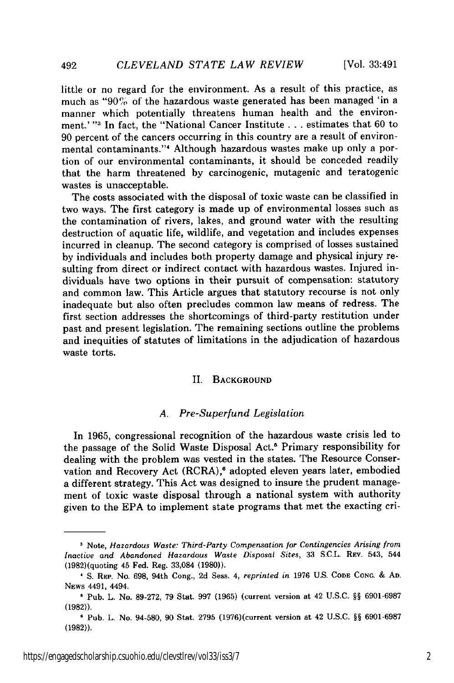492

little or no regard for the environment. As a result of this practice, as much as " $90\%$  of the hazardous waste generated has been managed 'in a manner which potentially threatens human health and the environment.' **"I** In fact, the "National Cancer Institute **. .** . estimates that 60 to 90 percent of the cancers occurring in this country are a result of environmental contaminants." Although hazardous wastes make up only a portion of our environmental contaminants, it should be conceded readily that the harm threatened by carcinogenic, mutagenic and teratogenic wastes is unacceptable.

The costs associated with the disposal of toxic waste can be classified in two ways. The first category is made up of environmental losses such as the contamination of rivers, lakes, and ground water with the resulting destruction of aquatic life, wildlife, and vegetation and includes expenses incurred in cleanup. The second category is comprised of losses sustained by individuals and includes both property damage and physical injury resulting from direct or indirect contact with hazardous wastes. Injured individuals have two options in their pursuit of compensation: statutory and common law. This Article argues that statutory recourse is not only inadequate but also often precludes common law means of redress. The first section addresses the shortcomings of third-party restitution under past and present legislation. The remaining sections outline the problems and inequities of statutes of limitations in the adjudication of hazardous waste torts.

#### II. **BACKGROUND**

## *A. Pre-Superfund Legislation*

In **1965,** congressional recognition of the hazardous waste crisis led to the passage of the Solid Waste Disposal Act.5 Primary responsibility for dealing with the problem was vested in the states. The Resource Conservation and Recovery Act (RCRA),<sup>6</sup> adopted eleven years later, embodied a different strategy. This Act was designed to insure the prudent management of toxic waste disposal through a national system with authority given to the **EPA** to implement state programs that met the exacting cri-

https://engagedscholarship.csuohio.edu/clevstlrev/vol33/iss3/7 2

**<sup>3</sup>**Note, *Hazardous Waste: Third-Party Compensation for Contingencies Arising from Inactive and Abandoned Hazardous Waste Disposal Sites,* 33 **S.C.L.** REv. 543, 544 (1982)(quoting 45 Fed. Reg. 33,084 (1980)).

**<sup>&#</sup>x27;** S. REP. No. 698, 94th Cong., 2d Sess. 4, *reprinted in* 1976 **U.S. CODE CONG.** & **AD.** NEWs 4491, 4494.

**<sup>&#</sup>x27;** Pub. L. No. 89-272, 79 Stat. 997 (1965) (current version at 42 U.S.C. §§ 6901-6987 (1982)).

**<sup>1</sup>** Pub. L. No. 94-580, 90 Stat. 2795 (1976)(current version at 42 U.S.C. §§ 6901-6987 (1982)).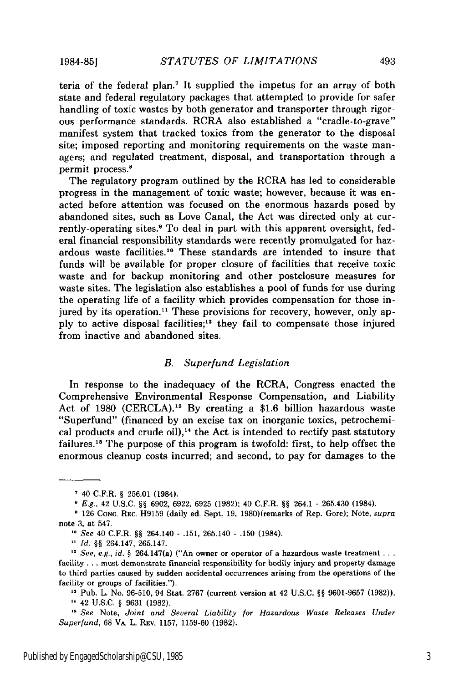teria of the federal plan.7 It supplied the impetus for an array of both state and federal regulatory packages that attempted to provide for safer handling of toxic wastes by both generator and transporter through rigorous performance standards. RCRA also established a "cradle-to-grave" manifest system that tracked toxics from the generator to the disposal site; imposed reporting and monitoring requirements on the waste managers; and regulated treatment, disposal, and transportation through a permit process.'

The regulatory program outlined by the RCRA has led to considerable progress in the management of toxic waste; however, because it was enacted before attention was focused on the enormous hazards posed by abandoned sites, such as Love Canal, the Act was directed only at currently-operating sites.<sup>9</sup> To deal in part with this apparent oversight, federal financial responsibility standards were recently promulgated for hazardous waste facilities.<sup>10</sup> These standards are intended to insure that funds will be available for proper closure of facilities that receive toxic waste and for backup monitoring and other postclosure measures for waste sites. The legislation also establishes a pool of funds for use during the operating life of a facility which provides compensation for those injured by its operation.<sup>11</sup> These provisions for recovery, however, only apply to active disposal facilities;<sup>12</sup> they fail to compensate those injured from inactive and abandoned sites.

#### *B. Superfund Legislation*

In response to the inadequacy of the RCRA, Congress enacted the Comprehensive Environmental Response Compensation, and Liability Act of 1980 (CERCLA).<sup>13</sup> By creating a \$1.6 billion hazardous waste "Superfund" (financed by an excise tax on inorganic toxics, petrochemical products and crude oil),<sup>14</sup> the Act is intended to rectify past statutory failures.<sup>15</sup> The purpose of this program is twofold: first, to help offset the enormous cleanup costs incurred; and second, to pay for damages to the

**1984-85]**

<sup>40</sup> C.F.R. § 256.01 (1984).

*E.g.,* 42 U.S.C. §§ 6902, 6922, 6925 (1982); 40 C.F.R. §§ 264.1 - 265.430 (1984).

<sup>126</sup> CONG. REc. H9159 (daily ed. Sept. 19, 1980)(remarks of Rep. Gore); Note, *supra* note 3, at 547.

*<sup>\*</sup>o See* 40 C.F.R. §§ 264.140 - .151, 265.140 - .150 (1984).

*Id. §§* 264.147, 265.147.

<sup>&</sup>lt;sup>12</sup> See, e.g., id. § 264.147(a) ("An owner or operator of a hazardous waste treatment ... facility ... must demonstrate financial responsibility for bodily injury and property damage to third parties caused by sudden accidental occurrences arising from the operations of the facility or groups of facilities.").

**<sup>&#</sup>x27;3** Pub. L. No. 96-510, 94 Stat. 2767 (current version at 42 U.S.C. §§ 9601-9657 (1982)). **"** 42 U.S.C. § 9631 (1982).

*See* Note, *Joint and Several Liability for Hazardous Waste Releases Under Superfund,* 68 VA. L. REV. 1157, 1159-60 (1982).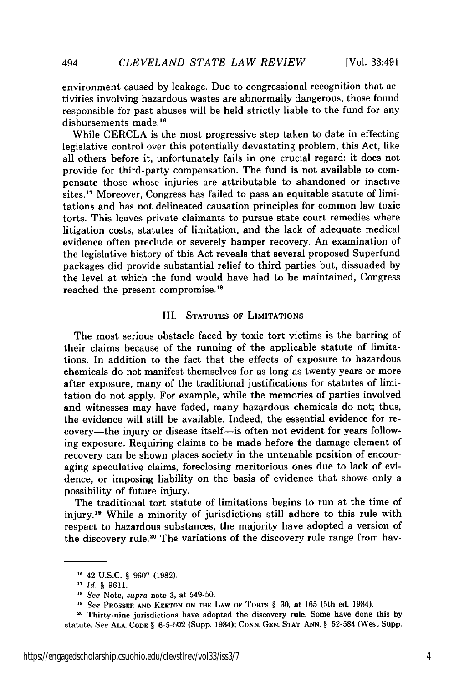environment caused by leakage. Due to congressional recognition that activities involving hazardous wastes are abnormally dangerous, those found responsible for past abuses will be held strictly liable to the fund for any disbursements made.<sup>16</sup>

While CERCLA is the most progressive step taken to date in effecting legislative control over this potentially devastating problem, this Act, like all others before it, unfortunately fails in one crucial regard: it does not provide for third-party compensation. The fund is not available to compensate those whose injuries are attributable to abandoned or inactive sites.<sup>17</sup> Moreover, Congress has failed to pass an equitable statute of limitations and has not delineated causation principles for common law toxic torts. This leaves private claimants to pursue state court remedies where litigation costs, statutes of limitation, and the lack of adequate medical evidence often preclude or severely hamper recovery. An examination of the legislative history of this Act reveals that several proposed Superfund packages did provide substantial relief to third parties but, dissuaded by the level at which the fund would have had to be maintained, Congress reached the present compromise.<sup>18</sup>

# III. STATUTES OF LIMITATIONS

The most serious obstacle faced by toxic tort victims is the barring of their claims because of the running of the applicable statute of limitations. In addition to the fact that the effects of exposure to hazardous chemicals do not manifest themselves for as long as twenty years or more after exposure, many of the traditional justifications for statutes of limitation do not apply. For example, while the memories of parties involved and witnesses may have faded, many hazardous chemicals do not; thus, the evidence will still be available. Indeed, the essential evidence for recovery-the injury or disease itself-is often not evident for years following exposure. Requiring claims to be made before the damage element of recovery can be shown places society in the untenable position of encouraging speculative claims, foreclosing meritorious ones due to lack of evidence, or imposing liability on the basis of evidence that shows only a possibility of future injury.

The traditional tort statute of limitations begins to run at the time of injury.<sup>19</sup> While a minority of jurisdictions still adhere to this rule with respect to hazardous substances, the majority have adopted a version of the discovery rule.<sup>20</sup> The variations of the discovery rule range from hav-

**<sup>&#</sup>x27;** 42 U.S.C. § 9607 (1982).

<sup>&</sup>lt;sup>17</sup> *Id.* § 9611.

**IS** See Note, supra note 3, at 549-50.

**<sup>&</sup>quot;** *See* PROSSER **AND KEETON ON THE LAW OF** TORTS § **30,** at 165 (5th ed. 1984).

**<sup>20</sup>**Thirty-nine jurisdictions have adopted the discovery rule. Some have done this by statute. *See* **ALA. CODE** § 6-5-502 (Supp. 1984); **CONN.** GEN. **STAT. ANN.** § 52-584 (West Supp.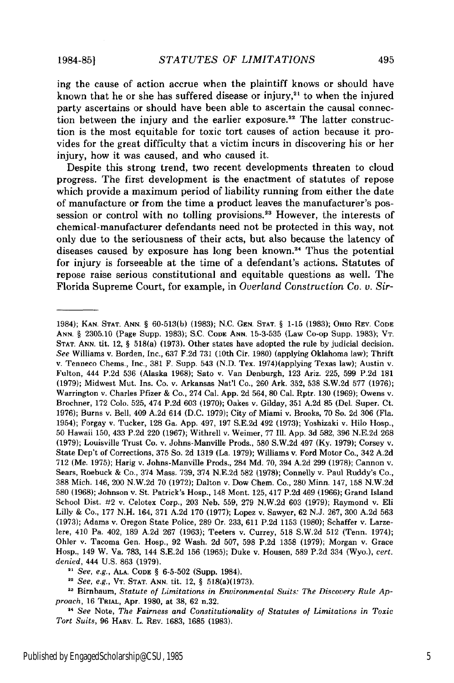#### **1984-851**

ing the cause of action accrue when the plaintiff knows or should have known that he or she has suffered disease or injury, $21$  to when the injured party ascertains or should have been able to ascertain the causal connection between the injury and the earlier exposure.<sup>22</sup> The latter construction is the most equitable for toxic tort causes of action because it provides for the great difficulty that a victim incurs in discovering his or her injury, how it was caused, and who caused it.

Despite this strong trend, two recent developments threaten to cloud progress. The first development is the enactment of statutes of repose which provide a maximum period of liability running from either the date of manufacture or from the time a product leaves the manufacturer's possession or control with no tolling provisions.<sup>23</sup> However, the interests of chemical-manufacturer defendants need not be protected in this way, not only due to the seriousness of their acts, but also because the latency of diseases caused by exposure has long been known.<sup>24</sup> Thus the potential for injury is forseeable at the time of a defendant's actions. Statutes of repose raise serious constitutional and equitable questions as well. The Florida Supreme Court, for example, in *Overland Construction Co. v. Sir-*

*See, e.g.,* ALA. CODE § 6-5-502 (Supp. 1984).

*<sup>22</sup>See, e.g.,* VT. STAT. ANN. tit. 12, § 518(a)(1973).

**23** Birnbaum, *Statute of Limitations in Environmental Suits: The Discovery Rule Approach,* 16 TRIAL, Apr. 1980, at 38, 62 n.32.

*14 See* Note, *The Fairness and Constitutionality of Statutes of Limitations in Toxic Tort Suits,* 96 HARV. L. REV. 1683, 1685 (1983).

<sup>1984);</sup> KAN. STAT. ANN. § 60-513(b) (1983); N.C. GEN. **STAT.** § 1-15 (1983); OHIO REV. CODE ANN. § 2305.10 (Page Supp. 1983); S.C. CODE **ANN.** 15-3-535 (Law Co-op Supp. 1983); VT. STAT. **ANN.** tit. 12, § 518(a) (1973). Other states have adopted the rule by judicial decision. *See* Williams v. Borden, Inc., 637 F.2d 731 (10th Cir. 1980) (applying Oklahoma law); Thrift v. Tenneco Chems., Inc., 381 F. Supp. 543 (N.D. Tex. 1974)(applying Texas law); Austin v. Fulton, 444 P.2d 536 (Alaska 1968); Sato v. Van Denburgh, 123 Ariz. 225, 599 P.2d 181 (1979); Midwest Mut. Ins. Co. v. Arkansas Nat'l Co., 260 Ark. 352, 538 S.W.2d 577 (1976); Warrington v. Charles Pfizer & Co., 274 Cal. App. 2d 564, 80 Cal. Rptr. 130 (1969); Owens v. Brochner, 172 Colo. 525, 474 P.2d 603 (1970); Oakes v. Gilday, 351 A.2d 85 (Del. Super. Ct. 1976); Burns v. Bell, 409 A.2d 614 (D.C. 1979); City of Miami v. Brooks, 70 So. 2d 306 (Fla. 1954); Forgay v. Tucker, 128 Ga. App. 497, 197 S.E.2d 492 (1973); Yoshizaki v. Hilo Hosp., 50 Hawaii 150, 433 P.2d 220 (1967); Withrell v. Weimer, 77 Ill. App. 3d 582, 396 N.E.2d 268 (1979); Louisville Trust Co. v. Johns-Manville Prods., 580 S.W.2d 497 (Ky. 1979); Corsey v. State Dep't of Corrections, 375 So. 2d 1319 (La. 1979); Williams v. Ford Motor Co., 342 A.2d 712 (Me. 1975); Harig v. Johns-Manville Prods., 284 Md. 70, 394 A.2d 299 (1978); Cannon v. Sears, Roebuck & Co., 374 Mass. 739, 374 N.E.2d 582 (1978); Connelly v. Paul Ruddy's Co., 388 Mich. 146, 200 N.W.2d 70 (1972); Dalton v. Dow Chem. Co., 280 Minn. 147, 158 N.W.2d 580 (1968); Johnson v. St. Patrick's Hosp., 148 Mont. 125, 417 P.2d 469 (1966); Grand Island School Dist. #2 v. Celotex Corp., 203 Neb. 559, 279 N.W.2d 603 (1979); Raymond v. Eli Lilly & Co., 177 N.H. 164, 371 A.2d 170 (1977); Lopez v. Sawyer, 62 N.J. 267, 300 A.2d 563 (1973); Adams v. Oregon State Police, 289 Or. 233, 611 P.2d 1153 (1980); Schaffer v. Larzelere, 410 Pa. 402, 189 A.2d 267 (1963); Teeters v. Currey, 518 S.W.2d 512 (Tenn. 1974); Ohler v. Tacoma Gen. Hosp., 92 Wash. 2d 507, 598 P.2d 1358 (1979); Morgan v. Grace Hosp., 149 W. Va. 783, 144 S.E.2d 156 (1965); Duke v. Housen, 589 P.2d 334 (Wyo.), *cert. denied,* 444 U.S. 863 (1979).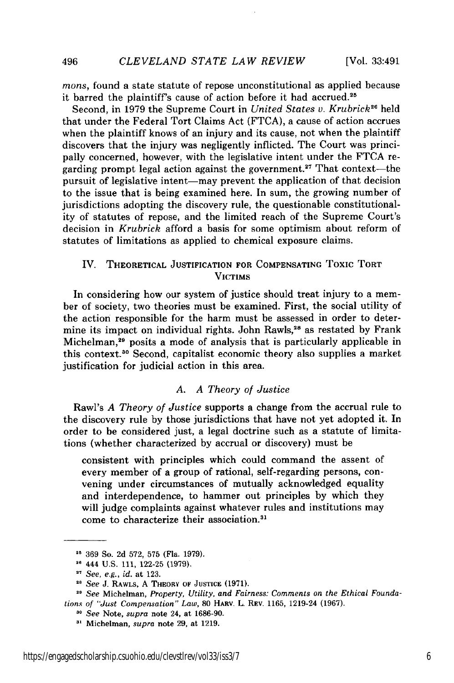*mons,* found a state statute of repose unconstitutional as applied because it barred the plaintiff's cause of action before it had accrued.2<sup>5</sup>

Second, in 1979 the Supreme Court in *United States v. Krubrick<sup>26</sup>* held that under the Federal Tort Claims Act (FTCA), a cause of action accrues when the plaintiff knows of an injury and its cause, not when the plaintiff discovers that the injury was negligently inflicted. The Court was principally concerned, however, with the legislative intent under the FTCA regarding prompt legal action against the government.<sup>27</sup> That context—the pursuit of legislative intent-may prevent the application of that decision to the issue that is being examined here. In sum, the growing number of jurisdictions adopting the discovery rule, the questionable constitutionality of statutes of repose, and the limited reach of the Supreme Court's decision in *Krubrick* afford a basis for some optimism about reform of statutes of limitations as applied to chemical exposure claims.

# IV. THEORETICAL **JUSTIFICATION FOR COMPENSATING Toxic** TORT **VICTIMS**

In considering how our system of justice should treat injury to a member of society, two theories must be examined. First, the social utility of the action responsible for the harm must be assessed in order to determine its impact on individual rights. John Rawls,<sup>28</sup> as restated by Frank Michelman,<sup>29</sup> posits a mode of analysis that is particularly applicable in this context. 0 Second, capitalist economic theory also supplies a market justification for judicial action in this area.

# *A. A Theory of Justice*

Rawl's *A Theory of Justice* supports a change from the accrual rule to the discovery rule by those jurisdictions that have not yet adopted it. In order to be considered just, a legal doctrine such as a statute of limitations (whether characterized by accrual or discovery) must be

consistent with principles which could command the assent of every member of a group of rational, self-regarding persons, convening under circumstances of mutually acknowledged equality and interdependence, to hammer out principles by which they will judge complaints against whatever rules and institutions may come to characterize their association.<sup>31</sup>

**<sup>&</sup>quot; 369** So. **2d 572,** 575 (Fla. 1979).

**<sup>&</sup>quot;** 444 U.S. 111, 122-25 (1979).

<sup>21</sup>*See, e.g., id.* at 123.

<sup>21</sup> *See* J. RAWLS, **A** THEORY OF **JUSTICE** (1971).

<sup>&</sup>lt;sup>29</sup> See Michelman, Property, Utility, and Fairness: Comments on the Ethical Founda*tions of "Just Compensation" Law,* **80 HARV. L. REV. 1165, 1219-24 (1967).**

**<sup>30</sup>** *See* Note, *supra* note 24, at **1686-90.**

**<sup>&</sup>quot;'** Michelman, *supra* note **29,** at **1219.**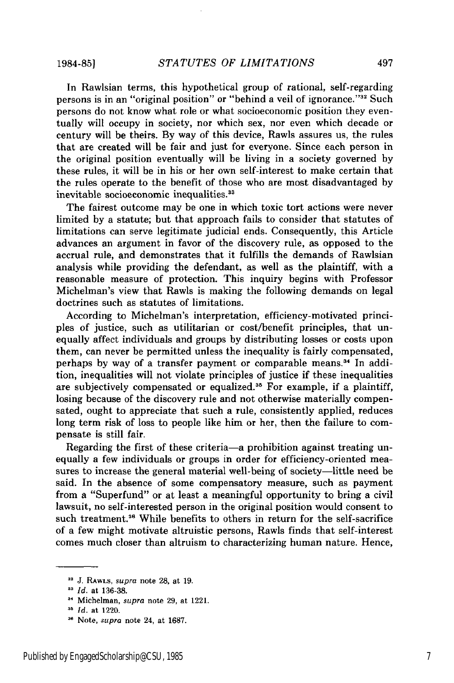**1984-851**

In Rawisian terms, this hypothetical group of rational, self-regarding persons is in an "original position" or "behind a veil of ignorance."<sup>32</sup> Such persons do not know what role or what socioeconomic position they eventually will occupy in society, nor which sex, nor even which decade or century will be theirs. By way of this device, Rawls assures us, the rules that are created will be fair and just for everyone. Since each person in the original position eventually will be living in a society governed by these rules, it will be in his or her own self-interest to make certain that the rules operate to the benefit of those who are most disadvantaged by inevitable socioeconomic inequalities.<sup>33</sup>

The fairest outcome may be one in which toxic tort actions were never limited by a statute; but that approach fails to consider that statutes of limitations can serve legitimate judicial ends. Consequently, this Article advances an argument in favor of the discovery rule, as opposed to the accrual rule, and demonstrates that it fulfills the demands of Rawlsian analysis while providing the defendant, as well as the plaintiff, with a reasonable measure of protection. This inquiry begins with Professor Michelman's view that Rawls is making the following demands on legal doctrines such as statutes of limitations.

According to Michelman's interpretation, efficiency-motivated principles of justice, such as utilitarian or cost/benefit principles, that unequally affect individuals and groups by distributing losses or costs upon them, can never be permitted unless the inequality is fairly compensated, perhaps by way of a transfer payment or comparable means.<sup>34</sup> In addition, inequalities will not violate principles of justice if these inequalities are subjectively compensated or equalized. 35 For example, if a plaintiff, losing because of the discovery rule and not otherwise materially compensated, ought to appreciate that such a rule, consistently applied, reduces long term risk of loss to people like him or her, then the failure to compensate is still fair.

Regarding the first of these criteria-a prohibition against treating unequally a few individuals or groups in order for efficiency-oriented measures to increase the general material well-being of society—little need be said. In the absence of some compensatory measure, such as payment from a "Superfund" or at least a meaningful opportunity to bring a civil lawsuit, no self-interested person in the original position would consent to such treatment.<sup>36</sup> While benefits to others in return for the self-sacrifice of a few might motivate altruistic persons, Rawls finds that self-interest comes much closer than altruism to characterizing human nature. Hence,

<sup>&</sup>lt;sup>32</sup> J. RawLs, supra note 28, at 19.

*Id.* at 136-38.

**<sup>3</sup>**Michelman, *supra* note 29, at 1221.

<sup>&</sup>lt;sup>35</sup> *Id.* at 1220.

<sup>&</sup>lt;sup>36</sup> Note, *supra* note 24, at 1687.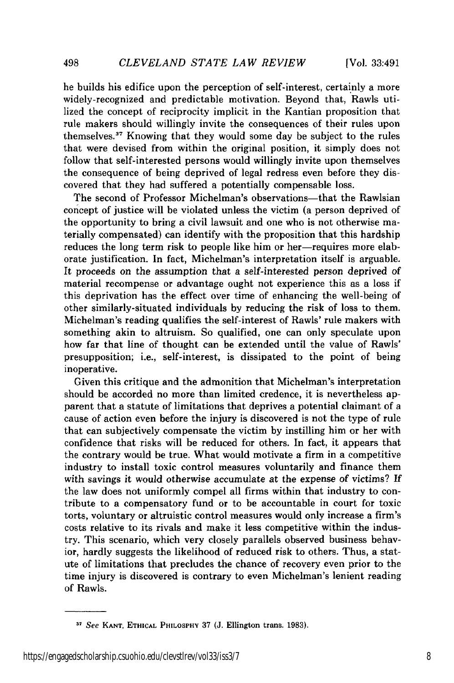498

he builds his edifice upon the perception of self-interest, certainly a more widely-recognized and predictable motivation. Beyond that, Rawls utilized the concept of reciprocity implicit in the Kantian proposition that rule makers should willingly invite the consequences of their rules upon themselves." Knowing that they would some day be subject to the rules that were devised from within the original position, it simply does not follow that self-interested persons would willingly invite upon themselves the consequence of being deprived of legal redress even before they discovered that they had suffered a potentially compensable loss.

The second of Professor Michelman's observations—that the Rawlsian concept of justice will be violated unless the victim (a person deprived of the opportunity to bring a civil lawsuit and one who is not otherwise materially compensated) can identify with the proposition that this hardship reduces the long term risk to people like him or her-requires more elaborate justification. In fact, Michelman's interpretation itself is arguable. It proceeds on the assumption that a self-interested person deprived of material recompense or advantage ought not experience this as a loss if this deprivation has the effect over time of enhancing the well-being of other similarly-situated individuals by reducing the risk of loss to them. Michelman's reading qualifies the self-interest of Rawls' rule makers with something akin to altruism. So qualified, one can only speculate upon how far that line of thought can be extended until the value of Rawls' presupposition; i.e., self-interest, is dissipated to the point of being inoperative.

Given this critique and the admonition that Michelman's interpretation should be accorded no more than limited credence, it is nevertheless apparent that a statute of limitations that deprives a potential claimant of a cause of action even before the injury is discovered is not the type of rule that can subjectively compensate the victim by instilling him or her with confidence that risks will be reduced for others. In fact, it appears that the contrary would be true. What would motivate a firm in a competitive industry to install toxic control measures voluntarily and finance them with savings it would otherwise accumulate at the expense of victims? If the law does not uniformly compel all firms within that industry to contribute to a compensatory fund or to be accountable in court for toxic torts, voluntary or altruistic control measures would only increase a firm's costs relative to its rivals and make it less competitive within the industry. This scenario, which very closely parallels observed business behavior, hardly suggests the likelihood of reduced risk to others. Thus, a statute of limitations that precludes the chance of recovery even prior to the time injury is discovered is contrary to even Michelman's lenient reading of Rawls.

*<sup>37</sup>*See **KANT, ETHICAL PHILOSPHY** 37 **(J.** Ellington trans. **1983).**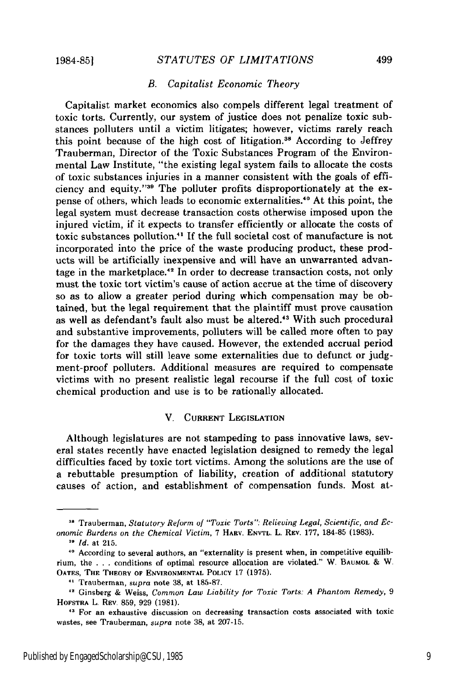#### *B. Capitalist Economic Theory*

Capitalist market economics also compels different legal treatment of toxic torts. Currently, our system of justice does not penalize toxic substances polluters until a victim litigates; however, victims rarely reach this point because of the high cost of litigation.<sup>38</sup> According to Jeffrey Trauberman, Director of the Toxic Substances Program of the Environmental Law Institute, "the existing legal system fails to allocate the costs of toxic substances injuries in a manner consistent with the goals of efficiency and equity."39 The polluter profits disproportionately at the expense of others, which leads to economic externalities.<sup>40</sup> At this point, the legal system must decrease transaction costs otherwise imposed upon the injured victim, if it expects to transfer efficiently or allocate the costs of toxic substances pollution." If the full societal cost of manufacture is not incorporated into the price of the waste producing product, these products will be artificially inexpensive and will have an unwarranted advantage in the marketplace.<sup>42</sup> In order to decrease transaction costs, not only must the toxic tort victim's cause of action accrue at the time of discovery so as to allow a greater period during which compensation may be obtained, but the legal requirement that the plaintiff must prove causation as well as defendant's fault also must be altered.'3 With such procedural and substantive improvements, polluters will be called more often to pay for the damages they have caused. However, the extended accrual period for toxic torts will still leave some externalities due to defunct or judgment-proof polluters. Additional measures are required to compensate victims with no present realistic legal recourse if the full cost of toxic chemical production and use is to be rationally allocated.

## V. **CURRENT LEGISLATION**

Although legislatures are not stampeding to pass innovative laws, several states recently have enacted legislation designed to remedy the legal difficulties faced **by** toxic tort victims. Among the solutions are the use of a rebuttable presumption of liability, creation of additional statutory causes of action, and establishment of compensation funds. Most at-

<sup>&</sup>lt;sup>38</sup> Trauberman, *Statutory Reform of "Toxic Torts": Relieving Legal, Scientific, and Economic Burdens on the Chemical Victim,* 7 HARv. ENVTL. L. REV. 177, 184-85 (1983).

**<sup>&#</sup>x27;** *Id.* at 215.

<sup>&</sup>lt;sup>40</sup> According to several authors, an "externality is present when, in competitive equilibrium, the .. . conditions of optimal resource allocation are violated." W. **BAUMOL &** W. **OATES, THE THEORY OF ENVIRONMENTAL POLICY** 17 **(1975).**

**<sup>&</sup>quot;** Trauberman, *supra* **note 38,** at **185-87.**

**<sup>-</sup>** Ginsberg **&** Weiss, *Common Law Liability for Toxic Torts: A Phantom Remedy,* **9 HOFSTRA** L. REV, 859, 929 **(1981).**

**<sup>&</sup>quot;** For an exhaustive discussion on decreasing transaction costs associated with toxic wastes, see Trauberman, *supra* note 38, at 207-15.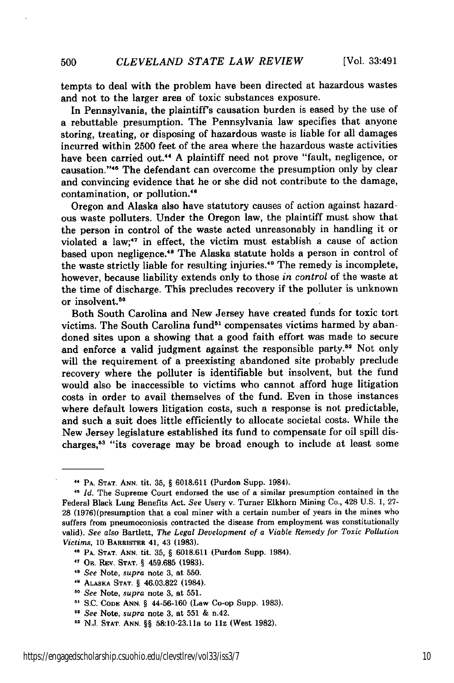tempts to deal with the problem have been directed at hazardous wastes and not to the larger area of toxic substances exposure.

In Pennsylvania, the plaintiff's causation burden is eased by the use of a rebuttable presumption. The Pennsylvania law specifies that anyone storing, treating, or disposing of hazardous waste is liable for all damages incurred within 2500 feet of the area where the hazardous waste activities have been carried out.<sup>44</sup> A plaintiff need not prove "fault, negligence, or causation. '45 The defendant can overcome the presumption only by clear and convincing evidence that he or she did not contribute to the damage, contamination, or pollution."

Oregon and Alaska also have statutory causes of action against hazardous waste polluters. Under the Oregon law, the plaintiff must show that the person in control of the waste acted unreasonably in handling it or violated a law;<sup>47</sup> in effect, the victim must establish a cause of action based upon negligence.<sup>48</sup> The Alaska statute holds a person in control of the waste strictly liable for resulting injuries. 49 The remedy is incomplete, however, because liability extends only to those *in control* of the waste at the time of discharge. This precludes recovery if the polluter is unknown or insolvent.<sup>50</sup>

Both South Carolina and New Jersey have created funds for toxic tort victims. The South Carolina fund<sup>51</sup> compensates victims harmed by abandoned sites upon a showing that a good faith effort was made to secure and enforce a valid judgment against the responsible party.<sup>52</sup> Not only will the requirement of a preexisting abandoned site probably preclude recovery where the polluter is identifiable but insolvent, but the fund would also be inaccessible to victims who cannot afford huge litigation costs in order to avail themselves of the fund. Even in those instances where default lowers litigation costs, such a response is not predictable, and such a suit does little efficiently to allocate societal costs. While the New Jersey legislature established its fund to compensate for oil spill discharges,<sup>53</sup> "its coverage may be broad enough to include at least some

**<sup>&</sup>quot; PA. STAT. ANN.** tit. **35, § 6018.611** (Purdon Supp. 1984). *41 Id.* The Supreme Court endorsed the use of a similar presumption contained in the Federal Black Lung Benefits Act. *See* Usery v. Turner Elkhorn Mining Co., 428 **U.S. 1, 27- 28** (1976)(presumption that a coal miner with a certain number of years in the mines who suffers from pneumoconiosis contracted the disease from employment was constitutionally valid). *See also* Bartlett, *The Legal Development of a Viable Remedy for Toxic Pollution* Victims, **10 BARRISTER 41,** 43 **(1983).**

<sup>46</sup> **PA. STAT. ANN.** tit. **35,** § **6018.611** (Purdon Supp. 1984).

**<sup>47</sup> OR. REV. STAT.** § **459.685 (1983).**

*<sup>48</sup> See* Note, *supra* note **3,** at **550.**

**<sup>11</sup> ALASKA STAT.** § **46.03.822** (1984).

**<sup>50</sup>***See* Note, *supra* note **3,** at **551.**

**<sup>&</sup>quot; S.C. CODE ANN.** § 44-56-160 (Law Co-op Supp. **1983).**

**<sup>&</sup>quot;** *See* **Note,** *supra* **note 3,** at **551 &** n.42.

**<sup>03</sup> N.J. STAT. ANN.** §§ **58:10-23.11a to llz** (West **1982).**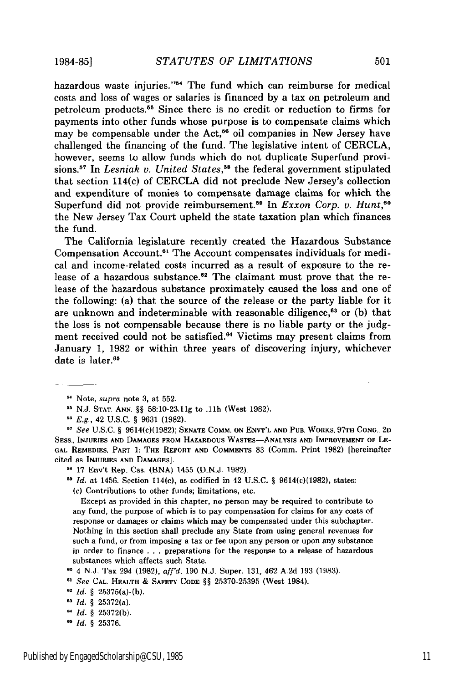**1984-851**

hazardous waste injuries."<sup>54</sup> The fund which can reimburse for medical costs and loss of wages or salaries is financed by a tax on petroleum and petroleum products. 55 Since there is no credit or reduction to firms for payments into other funds whose purpose is to compensate claims which may be compensable under the Act,<sup> $56$ </sup> oil companies in New Jersey have challenged the financing of the fund. The legislative intent of CERCLA, however, seems to allow funds which do not duplicate Superfund provisions.<sup>57</sup> In *Lesniak v. United States*,<sup>58</sup> the federal government stipulated that section 114(c) of CERCLA did not preclude New Jersey's collection and expenditure of monies to compensate damage claims for which the Superfund did not provide reimbursement.<sup>59</sup> In *Exxon Corp. v. Hunt*,<sup>60</sup> the New Jersey Tax Court upheld the state taxation plan which finances the fund.

The California legislature recently created the Hazardous Substance Compensation Account.<sup>61</sup> The Account compensates individuals for medical and income-related costs incurred as a result of exposure to the release of a hazardous substance.<sup>62</sup> The claimant must prove that the release of the hazardous substance proximately caused the loss and one of the following: (a) that the source of the release or the party liable for it are unknown and indeterminable with reasonable diligence, $63$  or (b) that the loss is not compensable because there is no liable party or the judgment received could not be satisfied.<sup>64</sup> Victims may present claims from January 1, 1982 or within three years of discovering injury, whichever date is later.<sup>65</sup>

*See* U.S.C. § 9614(c)(1982); **SENATE** COMM. **ON ENVT'L AND PUB.** WORKS, **97TH CONG., 2D SESS.. INJURIES AND DAMAGES FROM HAZARDOUS** WASTES-ANALYSIS **AND IMPROVEMENT OF LE-GAL** REMEDIES, PART 1: **THE** REPORT **AND** COMMENTS 83 (Comm. Print **1982)** [hereinafter cited as **INJURIES AND DAMACES].**

(c) Contributions to other funds; limitations, etc.

Except as provided in this chapter, no person may be required to contribute to any fund, the purpose of which is to pay compensation for claims for any costs of response or damages or claims which may be compensated under this subchapter. Nothing in this section shall preclude any State from using general revenues for such a fund, or from imposing a tax or fee upon any person or upon any substance in order to finance . . . preparations for the response to a release of hazardous substances which affects such State.

- **<sup>61</sup>***See* CAL. HEALTH & SAFETY **CODE** §§ 25370-25395 (West 1984).
- **e'** *Id. §* 25375(a)-(b).

*.' Id.* § 25376.

**<sup>11</sup>** Note, *supra* note 3, at 552.

**<sup>5</sup>**N.J. **STAT. ANN.** §§ 58:10-23.11g to .llb (West 1982).

*E.g.,* 42 U.S.C. § 9631 (1982).

**<sup>58 17</sup>** Env't Rep. Cas. (BNA) 1455 (D.N.J. 1982).

**<sup>51</sup>** *Id.* at 1456. Section 114(c), as codified in 42 U.S.C. § 9614(c)(1982), states:

**<sup>60</sup>**4 N.J. Tax 294 (1982), *aff'd,* 190 N.J. Super. 131, 462 A.2d 193 (1983).

*Id. §* 25372(a).

<sup>&</sup>lt;sup>64</sup> *Id.* § 25372(b).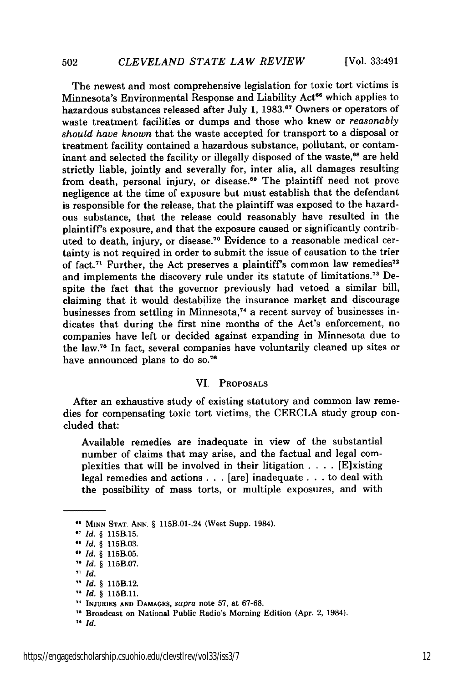The newest and most comprehensive legislation for toxic tort victims is Minnesota's Environmental Response and Liability Act<sup>66</sup> which applies to hazardous substances released after July 1, 1983.<sup>67</sup> Owners or operators of waste treatment facilities or dumps and those who knew or *reasonably should have known* that the waste accepted for transport to a disposal or treatment facility contained a hazardous substance, pollutant, or contaminant and selected the facility or illegally disposed of the waste,<sup>68</sup> are held strictly liable, jointly and severally for, inter alia, all damages resulting from death, personal injury, or disease.<sup>69</sup> The plaintiff need not prove negligence at the time of exposure but must establish that the defendant is responsible for the release, that the plaintiff was exposed to the hazardous substance, that the release could reasonably have resulted in the plaintiff's exposure, and that the exposure caused or significantly contributed to death, injury, or disease.<sup>70</sup> Evidence to a reasonable medical certainty is not required in order to submit the issue of causation to the trier of fact.<sup>71</sup> Further, the Act preserves a plaintiff's common law remedies<sup>72</sup> and implements the discovery rule under its statute of limitations.<sup>73</sup> Despite the fact that the governor previously had vetoed a similar bill, claiming that it would destabilize the insurance market and discourage businesses from settling in Minnesota,<sup>74</sup> a recent survey of businesses indicates that during the first nine months of the Act's enforcement, no companies have left or decided against expanding in Minnesota due to the law.<sup>76</sup> In fact, several companies have voluntarily cleaned up sites or have announced plans to do so.<sup>76</sup>

#### VI. PROPOSALS

After an exhaustive study of existing statutory and common law remedies for compensating toxic tort victims, the CERCLA study group concluded that:

Available remedies are inadequate in view of the substantial number of claims that may arise, and the factual and legal complexities that will be involved in their litigation  $\ldots$  [E]xisting legal remedies and actions **. .** . [are] inadequate . . . to deal with the possibility of mass torts, or multiple exposures, and with

502

**<sup>66</sup> MINN STAT ANN.** § 115B.01-.24 (West Supp. 1984).

**<sup>67</sup>***Id. §* 115B.15.

*<sup>68</sup> Id. §* 115B.03.

*<sup>69</sup>Id. §* 115B.05.

*Id. §* 115B.07.

*<sup>71</sup> Id.*

**<sup>&</sup>quot;** *Id. §* 115B.12.

*<sup>73</sup>Id. §* 115B.11.

<sup>•</sup> **INJURIES AND DAMAGES,** supra note **57,** at 67-68.

<sup>&</sup>lt;sup>75</sup> Broadcast on National Public Radio's Morning Edition (Apr. 2, 1984).

*<sup>76</sup> Id.*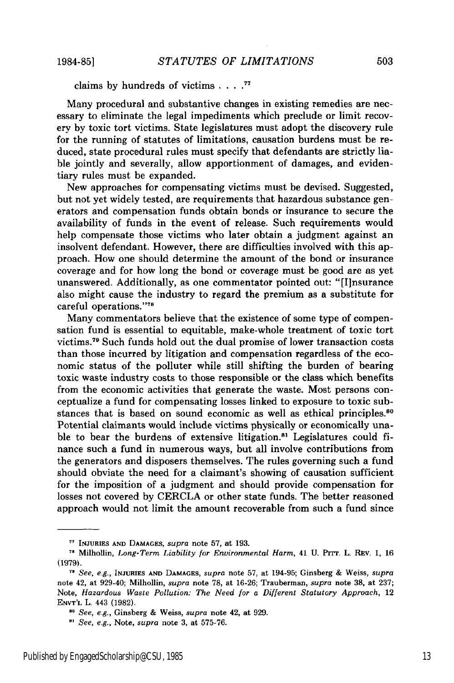claims by hundreds of victims **.... 1**

Many procedural and substantive changes in existing remedies are necessary to eliminate the legal impediments which preclude or limit recovery **by** toxic tort victims. State legislatures must adopt the discovery rule for the running of statutes of limitations, causation burdens must be reduced, state procedural rules must specify that defendants are strictly liable jointly and severally, allow apportionment of damages, and evidentiary rules must be expanded.

New approaches for compensating victims must be devised. Suggested, but not yet widely tested, are requirements that hazardous substance generators and compensation funds obtain bonds or insurance to secure the availability of funds in the event of release. Such requirements would help compensate those victims who later obtain a judgment against an insolvent defendant. However, there are difficulties involved with this approach. How one should determine the amount of the bond or insurance coverage and for how long the bond or coverage must be good are as yet unanswered. Additionally, as one commentator pointed out: "[Ilnsurance also might cause the industry to regard the premium as a substitute for careful operations. **' ' 7**

Many commentators believe that the existence of some type of compensation fund is essential to equitable, make-whole treatment of toxic tort victims. 79 Such funds hold out the dual promise of lower transaction costs than those incurred **by** litigation and compensation regardless of the economic status of the polluter while still shifting the burden of bearing toxic waste industry costs to those responsible or the class which benefits from the economic activities that generate the waste. Most persons conceptualize a fund for compensating losses linked to exposure to toxic substances that is based on sound economic as well as ethical principles.<sup>80</sup> Potential claimants would include victims physically or economically unable to bear the burdens of extensive litigation.<sup>81</sup> Legislatures could finance such a fund in numerous ways, but all involve contributions from the generators and disposers themselves. The rules governing such a fund should obviate the need for a claimant's showing of causation sufficient for the imposition of a judgment and should provide compensation for losses not covered **by** CERCLA or other state funds. The better reasoned approach would not limit the amount recoverable from such a fund since

**<sup>77</sup> INJURIES AND DAMAGES,** *supra* note **57,** at **193.**

**<sup>78</sup>**Milhollin, *Long-Term Liability* for *Environmental Harm,* 41 **U.** PITT. L. REV. **1, 16** (1979).

*<sup>11</sup> See, e.g.,* **INJURIES AND DAMAGES,** *supra* note 57, at 194-95; Ginsberg **&** Weiss, **supra** note 42, at 929-40; Milhollin, *supra* note 78, at 16-26; Trauberman, *supra* note 38, at 237; Note, *Hazardous Waste Pollution: The Need for a Different Statutory Approach,* 12 **ENVT'L** L. 443 (1982).

*See, e.g.,* Ginsberg **&** Weiss, *supra* note 42, at 929.

<sup>8,</sup> *See, e.g.,* Note, *supra* note 3, at 575-76.